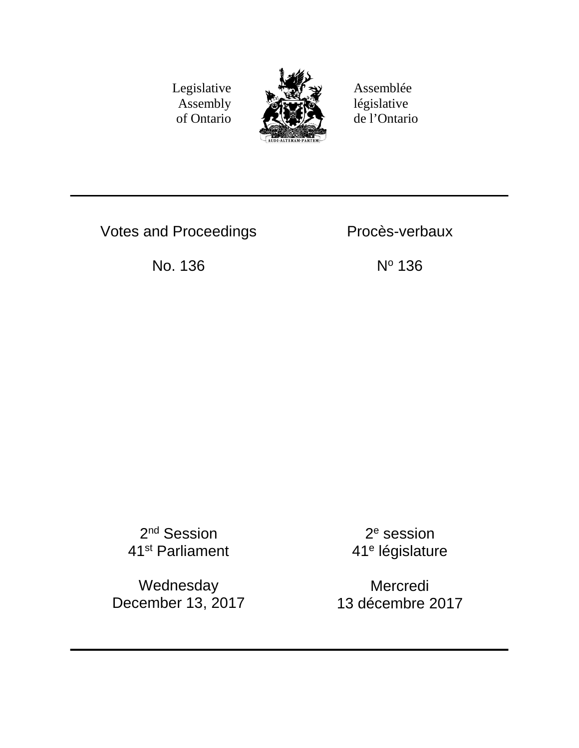Legislative Assembly of Ontario



Assemblée législative de l'Ontario

Votes and Proceedings **Proces-verbaux** 

No. 136 No 136

2<sup>nd</sup> Session 41st Parliament

Wednesday December 13, 2017

2e session 41e législature

Mercredi 13 décembre 2017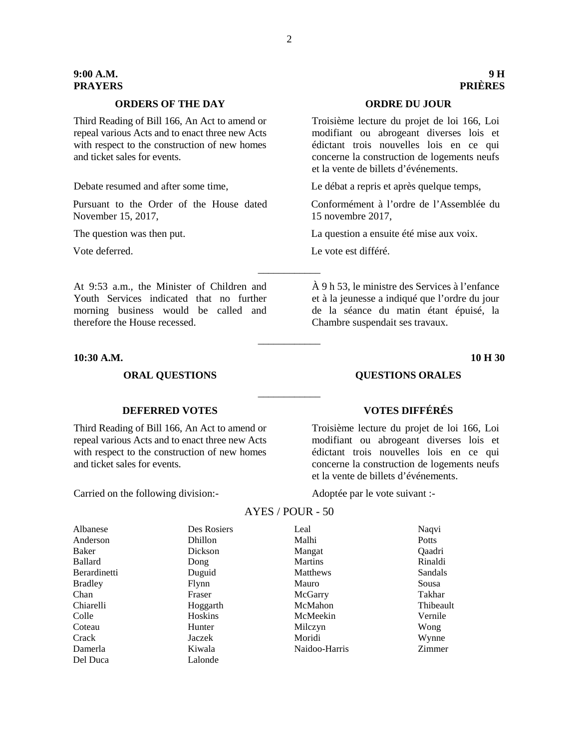### **ORDERS OF THE DAY ORDRE DU JOUR**

Third Reading of Bill 166, An Act to amend or repeal various Acts and to enact three new Acts with respect to the construction of new homes and ticket sales for events.

Pursuant to the Order of the House dated November 15, 2017,

# At 9:53 a.m., the Minister of Children and Youth Services indicated that no further morning business would be called and therefore the House recessed.

### **10:30 A.M. 10 H 30**

### **ORAL QUESTIONS QUESTIONS ORALES**

# **DEFERRED VOTES VOTES DIFFÉRÉS**

Third Reading of Bill 166, An Act to amend or repeal various Acts and to enact three new Acts with respect to the construction of new homes and ticket sales for events.

Carried on the following division:- Adoptée par le vote suivant :-

# \_\_\_\_\_\_\_\_\_\_\_\_

\_\_\_\_\_\_\_\_\_\_\_\_

\_\_\_\_\_\_\_\_\_\_\_\_

Troisième lecture du projet de loi 166, Loi modifiant ou abrogeant diverses lois et édictant trois nouvelles lois en ce qui concerne la construction de logements neufs et la vente de billets d'événements.

| Des Rosiers | Leal           | Naqvi     |
|-------------|----------------|-----------|
| Dhillon     | Malhi          | Potts     |
| Dickson     | Mangat         | Qaadri    |
| Dong        | <b>Martins</b> | Rinaldi   |
| Duguid      | Matthews       | Sandals   |
| Flynn       | Mauro          | Sousa     |
| Fraser      | McGarry        | Takhar    |
| Hoggarth    | McMahon        | Thibeault |
| Hoskins     | McMeekin       | Vernile   |
| Hunter      | Milczyn        | Wong      |
| Jaczek      | Moridi         | Wynne     |
| Kiwala      | Naidoo-Harris  | Zimmer    |
| Lalonde     |                |           |
|             |                |           |

# AYES / POUR - 50

Troisième lecture du projet de loi 166, Loi modifiant ou abrogeant diverses lois et édictant trois nouvelles lois en ce qui concerne la construction de logements neufs et la vente de billets d'événements.

Debate resumed and after some time, Le débat a repris et après quelque temps,

Conformément à l'ordre de l'Assemblée du 15 novembre 2017,

The question was then put. La question a ensuite été mise aux voix.

Vote deferred. Le vote est différé.

À 9 h 53, le ministre des Services à l'enfance et à la jeunesse a indiqué que l'ordre du jour de la séance du matin étant épuisé, la Chambre suspendait ses travaux.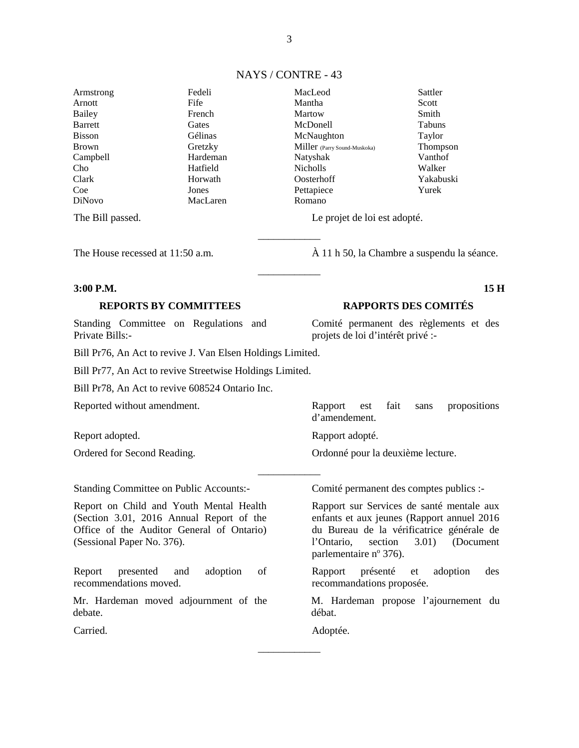|  |  | NAYS / CONTRE - 43 |  |
|--|--|--------------------|--|
|--|--|--------------------|--|

\_\_\_\_\_\_\_\_\_\_\_\_

\_\_\_\_\_\_\_\_\_\_\_\_

Armstrong Arnott Bailey Barrett Bisson Brown Campbell Cho Clark Coe DiNovo

Fedeli Fife French **Gates** Gélinas Gretzky Hardeman Hatfield Horwath Jones MacLaren

MacLeod Mantha Martow McDonell McNaughton Miller (Parry Sound-Muskoka) Natyshak Nicholls Oosterhoff Pettapiece Romano

The Bill passed. Le projet de loi est adopté.

### **3:00 P.M. 15 H**

Standing Committee on Regulations and Private Bills:-

Bill Pr76, An Act to revive J. Van Elsen Holdings Limited.

Bill Pr77, An Act to revive Streetwise Holdings Limited.

Bill Pr78, An Act to revive 608524 Ontario Inc.

Reported without amendment. Rapport est fait sans propositions

Report adopted. Rapport adopté.

Ordered for Second Reading. Ordonné pour la deuxième lecture.

Standing Committee on Public Accounts:- Comité permanent des comptes publics :-

Report on Child and Youth Mental Health (Section 3.01, 2016 Annual Report of the Office of the Auditor General of Ontario) (Sessional Paper No. 376).

Report presented and adoption of recommendations moved.

Mr. Hardeman moved adjournment of the debate.

The House recessed at 11:50 a.m.  $\hat{A}$  11 h 50, la Chambre a suspendu la séance.

Sattler Scott Smith Tabuns Taylor Thompson Vanthof Walker Yakabuski Yurek

### **REPORTS BY COMMITTEES RAPPORTS DES COMITÉS**

Comité permanent des règlements et des projets de loi d'intérêt privé :-

\_\_\_\_\_\_\_\_\_\_\_\_

Rapport sur Services de santé mentale aux

enfants et aux jeunes (Rapport annuel 2016 du Bureau de la vérificatrice générale de l'Ontario, section 3.01) (Document parlementaire nº 376).

Rapport présenté et adoption des recommandations proposée.

M. Hardeman propose l'ajournement du débat.

Carried. Adoptée.

 $\overline{\phantom{a}}$ 

d'amendement.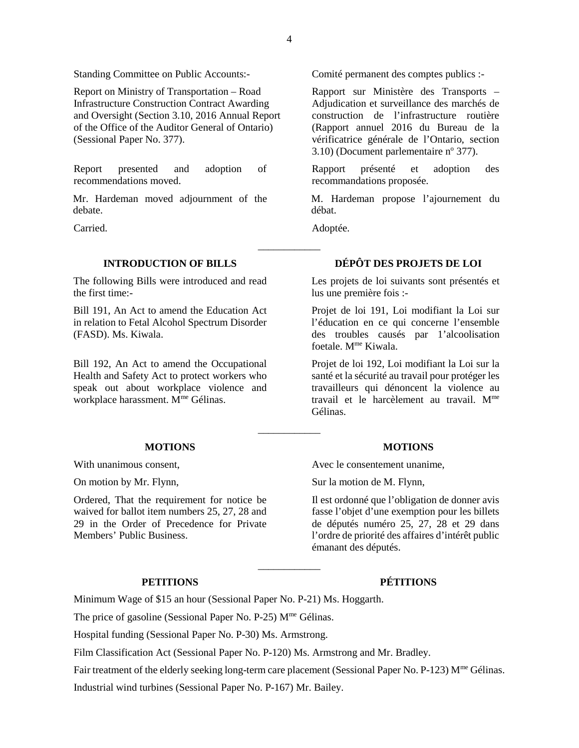Standing Committee on Public Accounts:- Comité permanent des comptes publics :-

Report on Ministry of Transportation – Road Infrastructure Construction Contract Awarding and Oversight (Section 3.10, 2016 Annual Report of the Office of the Auditor General of Ontario) (Sessional Paper No. 377).

Report presented and adoption of recommendations moved.

Mr. Hardeman moved adjournment of the debate.

The following Bills were introduced and read the first time:-

Bill 191, An Act to amend the Education Act in relation to Fetal Alcohol Spectrum Disorder (FASD). Ms. Kiwala.

Bill 192, An Act to amend the Occupational Health and Safety Act to protect workers who speak out about workplace violence and workplace harassment. M<sup>me</sup> Gélinas.

### **MOTIONS MOTIONS**

Ordered, That the requirement for notice be waived for ballot item numbers 25, 27, 28 and 29 in the Order of Precedence for Private Members' Public Business.

Rapport sur Ministère des Transports – Adjudication et surveillance des marchés de construction de l'infrastructure routière (Rapport annuel 2016 du Bureau de la vérificatrice générale de l'Ontario, section 3.10) (Document parlementaire  $n^{\circ}$  377).

Rapport présenté et adoption des recommandations proposée.

M. Hardeman propose l'ajournement du débat.

Carried. Adoptée.

# **INTRODUCTION OF BILLS DÉPÔT DES PROJETS DE LOI**

Les projets de loi suivants sont présentés et lus une première fois :-

Projet de loi 191, Loi modifiant la Loi sur l'éducation en ce qui concerne l'ensemble des troubles causés par 1'alcoolisation foetale. Mme Kiwala.

Projet de loi 192, Loi modifiant la Loi sur la santé et la sécurité au travail pour protéger les travailleurs qui dénoncent la violence au travail et le harcèlement au travail. Mme Gélinas.

With unanimous consent,  $\Delta \text{Vec}$  le consentement unanime,

On motion by Mr. Flynn, Sur la motion de M. Flynn,

Il est ordonné que l'obligation de donner avis fasse l'objet d'une exemption pour les billets de députés numéro 25, 27, 28 et 29 dans l'ordre de priorité des affaires d'intérêt public émanant des députés.

## **PETITIONS PÉTITIONS**

Minimum Wage of \$15 an hour (Sessional Paper No. P-21) Ms. Hoggarth.

The price of gasoline (Sessional Paper No. P-25)  $M<sup>me</sup>$  Gélinas.

Hospital funding (Sessional Paper No. P-30) Ms. Armstrong.

Film Classification Act (Sessional Paper No. P-120) Ms. Armstrong and Mr. Bradley.

Fair treatment of the elderly seeking long-term care placement (Sessional Paper No. P-123) M<sup>me</sup> Gélinas. Industrial wind turbines (Sessional Paper No. P-167) Mr. Bailey.

 $\overline{\phantom{a}}$ 

 $\overline{\phantom{a}}$ 

\_\_\_\_\_\_\_\_\_\_\_\_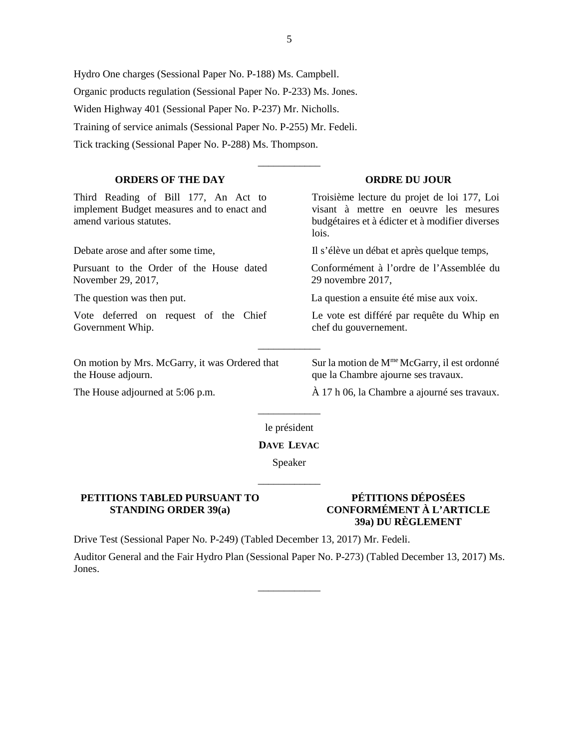Hydro One charges (Sessional Paper No. P-188) Ms. Campbell. Organic products regulation (Sessional Paper No. P-233) Ms. Jones. Widen Highway 401 (Sessional Paper No. P-237) Mr. Nicholls. Training of service animals (Sessional Paper No. P-255) Mr. Fedeli. Tick tracking (Sessional Paper No. P-288) Ms. Thompson.

### **ORDERS OF THE DAY ORDRE DU JOUR**

Third Reading of Bill 177, An Act to implement Budget measures and to enact and amend various statutes.

Pursuant to the Order of the House dated November 29, 2017,

Vote deferred on request of the Chief Government Whip.

On motion by Mrs. McGarry, it was Ordered that the House adjourn.

Troisième lecture du projet de loi 177, Loi visant à mettre en oeuvre les mesures budgétaires et à édicter et à modifier diverses lois.

Debate arose and after some time, Il s'élève un débat et après quelque temps,

Conformément à l'ordre de l'Assemblée du 29 novembre 2017,

The question was then put. La question a ensuite été mise aux voix.

Le vote est différé par requête du Whip en chef du gouvernement.

Sur la motion de M<sup>me</sup> McGarry, il est ordonné que la Chambre ajourne ses travaux.

The House adjourned at 5:06 p.m.  $\overrightarrow{A}$  17 h 06, la Chambre a ajourné ses travaux.

\_\_\_\_\_\_\_\_\_\_\_\_ le président

\_\_\_\_\_\_\_\_\_\_\_\_

### **DAVE LEVAC**

Speaker

\_\_\_\_\_\_\_\_\_\_\_\_

### **PETITIONS TABLED PURSUANT TO STANDING ORDER 39(a)**

# **PÉTITIONS DÉPOSÉES CONFORMÉMENT À L'ARTICLE 39a) DU RÈGLEMENT**

Drive Test (Sessional Paper No. P-249) (Tabled December 13, 2017) Mr. Fedeli.

Auditor General and the Fair Hydro Plan (Sessional Paper No. P-273) (Tabled December 13, 2017) Ms. Jones.

\_\_\_\_\_\_\_\_\_\_\_\_

\_\_\_\_\_\_\_\_\_\_\_\_